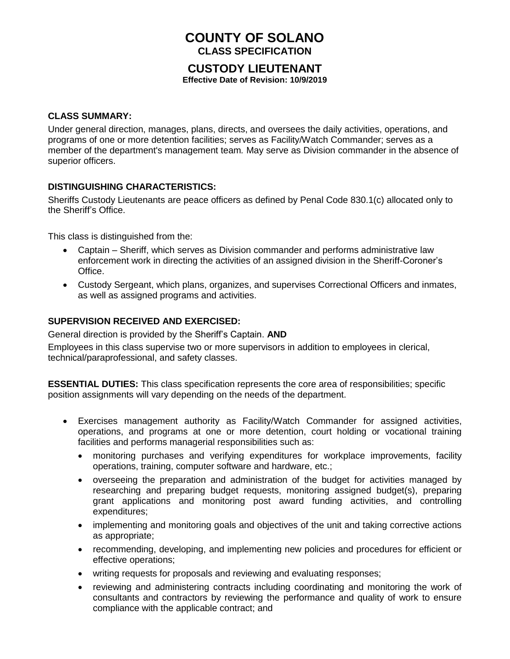# **COUNTY OF SOLANO CLASS SPECIFICATION**

## **CUSTODY LIEUTENANT**

**Effective Date of Revision: 10/9/2019**

### **CLASS SUMMARY:**

Under general direction, manages, plans, directs, and oversees the daily activities, operations, and programs of one or more detention facilities; serves as Facility/Watch Commander; serves as a member of the department's management team*.* May serve as Division commander in the absence of superior officers.

#### **DISTINGUISHING CHARACTERISTICS:**

Sheriffs Custody Lieutenants are peace officers as defined by Penal Code 830.1(c) allocated only to the Sheriff's Office.

This class is distinguished from the:

- Captain Sheriff, which serves as Division commander and performs administrative law enforcement work in directing the activities of an assigned division in the Sheriff-Coroner's Office.
- Custody Sergeant, which plans, organizes, and supervises Correctional Officers and inmates, as well as assigned programs and activities.

#### **SUPERVISION RECEIVED AND EXERCISED:**

General direction is provided by the Sheriff's Captain. **AND**

Employees in this class supervise two or more supervisors in addition to employees in clerical, technical/paraprofessional, and safety classes.

**ESSENTIAL DUTIES:** This class specification represents the core area of responsibilities; specific position assignments will vary depending on the needs of the department.

- Exercises management authority as Facility/Watch Commander for assigned activities, operations, and programs at one or more detention, court holding or vocational training facilities and performs managerial responsibilities such as:
	- monitoring purchases and verifying expenditures for workplace improvements, facility operations, training, computer software and hardware, etc.;
	- overseeing the preparation and administration of the budget for activities managed by researching and preparing budget requests, monitoring assigned budget(s), preparing grant applications and monitoring post award funding activities, and controlling expenditures;
	- implementing and monitoring goals and objectives of the unit and taking corrective actions as appropriate;
	- recommending, developing, and implementing new policies and procedures for efficient or effective operations;
	- writing requests for proposals and reviewing and evaluating responses;
	- reviewing and administering contracts including coordinating and monitoring the work of consultants and contractors by reviewing the performance and quality of work to ensure compliance with the applicable contract; and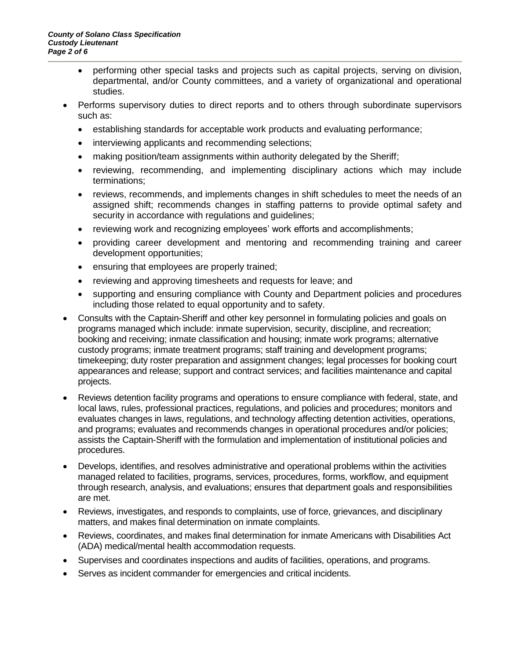- performing other special tasks and projects such as capital projects, serving on division, departmental, and/or County committees, and a variety of organizational and operational studies.
- Performs supervisory duties to direct reports and to others through subordinate supervisors such as:
	- establishing standards for acceptable work products and evaluating performance;
	- interviewing applicants and recommending selections;
	- making position/team assignments within authority delegated by the Sheriff;
	- reviewing, recommending, and implementing disciplinary actions which may include terminations;
	- reviews, recommends, and implements changes in shift schedules to meet the needs of an assigned shift; recommends changes in staffing patterns to provide optimal safety and security in accordance with regulations and guidelines;
	- reviewing work and recognizing employees' work efforts and accomplishments;
	- providing career development and mentoring and recommending training and career development opportunities;
	- ensuring that employees are properly trained;
	- reviewing and approving timesheets and requests for leave; and
	- supporting and ensuring compliance with County and Department policies and procedures including those related to equal opportunity and to safety.
- Consults with the Captain-Sheriff and other key personnel in formulating policies and goals on programs managed which include: inmate supervision, security, discipline, and recreation; booking and receiving; inmate classification and housing; inmate work programs; alternative custody programs; inmate treatment programs; staff training and development programs; timekeeping; duty roster preparation and assignment changes; legal processes for booking court appearances and release; support and contract services; and facilities maintenance and capital projects.
- Reviews detention facility programs and operations to ensure compliance with federal, state, and local laws, rules, professional practices, regulations, and policies and procedures; monitors and evaluates changes in laws, regulations, and technology affecting detention activities, operations, and programs; evaluates and recommends changes in operational procedures and/or policies; assists the Captain-Sheriff with the formulation and implementation of institutional policies and procedures.
- Develops, identifies, and resolves administrative and operational problems within the activities managed related to facilities, programs, services, procedures, forms, workflow, and equipment through research, analysis, and evaluations; ensures that department goals and responsibilities are met.
- Reviews, investigates, and responds to complaints, use of force, grievances, and disciplinary matters, and makes final determination on inmate complaints.
- Reviews, coordinates, and makes final determination for inmate Americans with Disabilities Act (ADA) medical/mental health accommodation requests.
- Supervises and coordinates inspections and audits of facilities, operations, and programs.
- Serves as incident commander for emergencies and critical incidents.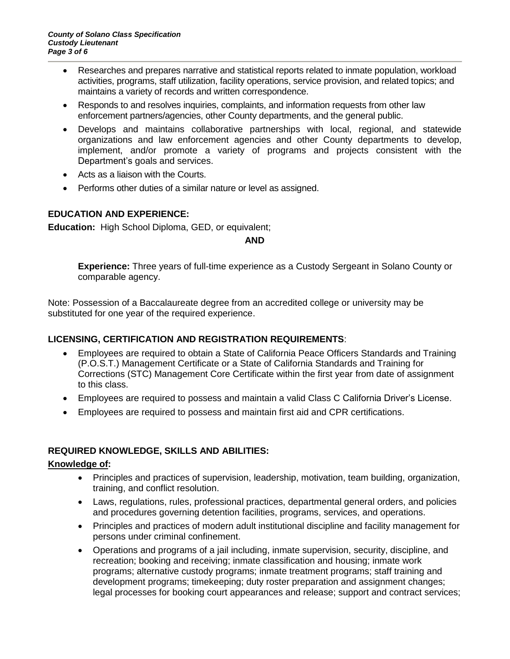- Researches and prepares narrative and statistical reports related to inmate population, workload activities, programs, staff utilization, facility operations, service provision, and related topics; and maintains a variety of records and written correspondence.
- Responds to and resolves inquiries, complaints, and information requests from other law enforcement partners/agencies, other County departments, and the general public.
- Develops and maintains collaborative partnerships with local, regional, and statewide organizations and law enforcement agencies and other County departments to develop, implement, and/or promote a variety of programs and projects consistent with the Department's goals and services.
- Acts as a liaison with the Courts.
- Performs other duties of a similar nature or level as assigned.

#### **EDUCATION AND EXPERIENCE:**

**Education:** High School Diploma, GED, or equivalent;

#### **AND**

**Experience:** Three years of full-time experience as a Custody Sergeant in Solano County or comparable agency.

Note: Possession of a Baccalaureate degree from an accredited college or university may be substituted for one year of the required experience.

#### **LICENSING, CERTIFICATION AND REGISTRATION REQUIREMENTS**:

- Employees are required to obtain a State of California Peace Officers Standards and Training (P.O.S.T.) Management Certificate or a State of California Standards and Training for Corrections (STC) Management Core Certificate within the first year from date of assignment to this class.
- Employees are required to possess and maintain a valid Class C California Driver's License.
- Employees are required to possess and maintain first aid and CPR certifications.

#### **REQUIRED KNOWLEDGE, SKILLS AND ABILITIES:**

#### **Knowledge of:**

- Principles and practices of supervision, leadership, motivation, team building, organization, training, and conflict resolution.
- Laws, regulations, rules, professional practices, departmental general orders, and policies and procedures governing detention facilities, programs, services, and operations.
- Principles and practices of modern adult institutional discipline and facility management for persons under criminal confinement.
- Operations and programs of a jail including, inmate supervision, security, discipline, and recreation; booking and receiving; inmate classification and housing; inmate work programs; alternative custody programs; inmate treatment programs; staff training and development programs; timekeeping; duty roster preparation and assignment changes; legal processes for booking court appearances and release; support and contract services;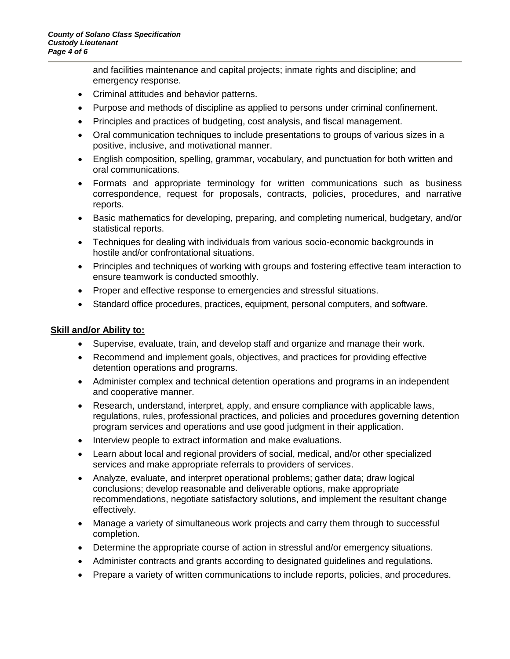and facilities maintenance and capital projects; inmate rights and discipline; and emergency response.

- Criminal attitudes and behavior patterns.
- Purpose and methods of discipline as applied to persons under criminal confinement.
- Principles and practices of budgeting, cost analysis, and fiscal management.
- Oral communication techniques to include presentations to groups of various sizes in a positive, inclusive, and motivational manner.
- English composition, spelling, grammar, vocabulary, and punctuation for both written and oral communications.
- Formats and appropriate terminology for written communications such as business correspondence, request for proposals, contracts, policies, procedures, and narrative reports.
- Basic mathematics for developing, preparing, and completing numerical, budgetary, and/or statistical reports.
- Techniques for dealing with individuals from various socio-economic backgrounds in hostile and/or confrontational situations.
- Principles and techniques of working with groups and fostering effective team interaction to ensure teamwork is conducted smoothly.
- Proper and effective response to emergencies and stressful situations.
- Standard office procedures, practices, equipment, personal computers, and software.

#### **Skill and/or Ability to:**

- Supervise, evaluate, train, and develop staff and organize and manage their work.
- Recommend and implement goals, objectives, and practices for providing effective detention operations and programs.
- Administer complex and technical detention operations and programs in an independent and cooperative manner.
- Research, understand, interpret, apply, and ensure compliance with applicable laws, regulations, rules, professional practices, and policies and procedures governing detention program services and operations and use good judgment in their application.
- Interview people to extract information and make evaluations.
- Learn about local and regional providers of social, medical, and/or other specialized services and make appropriate referrals to providers of services.
- Analyze, evaluate, and interpret operational problems; gather data; draw logical conclusions; develop reasonable and deliverable options, make appropriate recommendations, negotiate satisfactory solutions, and implement the resultant change effectively.
- Manage a variety of simultaneous work projects and carry them through to successful completion.
- Determine the appropriate course of action in stressful and/or emergency situations.
- Administer contracts and grants according to designated guidelines and regulations.
- Prepare a variety of written communications to include reports, policies, and procedures.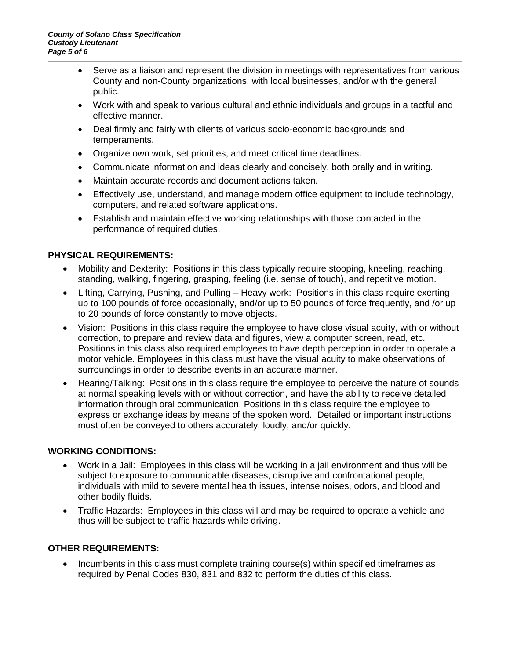- Serve as a liaison and represent the division in meetings with representatives from various County and non-County organizations, with local businesses, and/or with the general public.
- Work with and speak to various cultural and ethnic individuals and groups in a tactful and effective manner.
- Deal firmly and fairly with clients of various socio-economic backgrounds and temperaments.
- Organize own work, set priorities, and meet critical time deadlines.
- Communicate information and ideas clearly and concisely, both orally and in writing.
- Maintain accurate records and document actions taken.
- Effectively use, understand, and manage modern office equipment to include technology, computers, and related software applications.
- Establish and maintain effective working relationships with those contacted in the performance of required duties.

#### **PHYSICAL REQUIREMENTS:**

- Mobility and Dexterity: Positions in this class typically require stooping, kneeling, reaching, standing, walking, fingering, grasping, feeling (i.e. sense of touch), and repetitive motion.
- Lifting, Carrying, Pushing, and Pulling Heavy work: Positions in this class require exerting up to 100 pounds of force occasionally, and/or up to 50 pounds of force frequently, and /or up to 20 pounds of force constantly to move objects.
- Vision: Positions in this class require the employee to have close visual acuity, with or without correction, to prepare and review data and figures, view a computer screen, read, etc. Positions in this class also required employees to have depth perception in order to operate a motor vehicle. Employees in this class must have the visual acuity to make observations of surroundings in order to describe events in an accurate manner.
- Hearing/Talking: Positions in this class require the employee to perceive the nature of sounds at normal speaking levels with or without correction, and have the ability to receive detailed information through oral communication. Positions in this class require the employee to express or exchange ideas by means of the spoken word. Detailed or important instructions must often be conveyed to others accurately, loudly, and/or quickly.

#### **WORKING CONDITIONS:**

- Work in a Jail: Employees in this class will be working in a jail environment and thus will be subject to exposure to communicable diseases, disruptive and confrontational people, individuals with mild to severe mental health issues, intense noises, odors, and blood and other bodily fluids.
- Traffic Hazards: Employees in this class will and may be required to operate a vehicle and thus will be subject to traffic hazards while driving.

#### **OTHER REQUIREMENTS:**

• Incumbents in this class must complete training course(s) within specified timeframes as required by Penal Codes 830, 831 and 832 to perform the duties of this class.